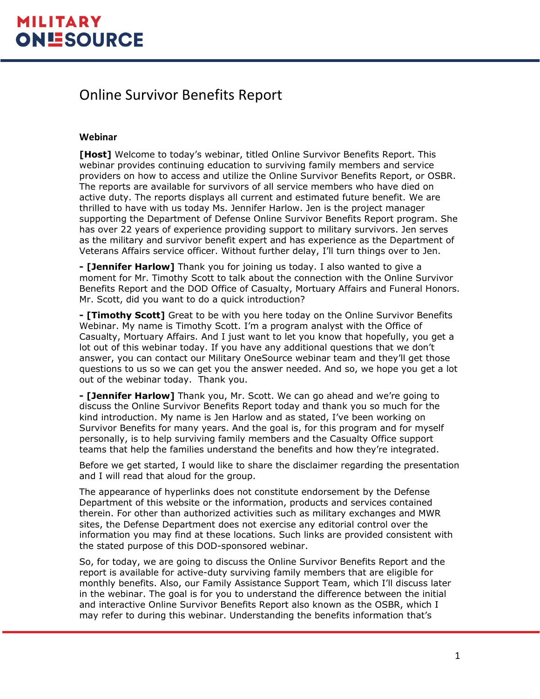#### Online Survivor Benefits Report

#### **Webinar**

**[Host]** Welcome to today's webinar, titled Online Survivor Benefits Report. This webinar provides continuing education to surviving family members and service providers on how to access and utilize the Online Survivor Benefits Report, or OSBR. The reports are available for survivors of all service members who have died on active duty. The reports displays all current and estimated future benefit. We are thrilled to have with us today Ms. Jennifer Harlow. Jen is the project manager supporting the Department of Defense Online Survivor Benefits Report program. She has over 22 years of experience providing support to military survivors. Jen serves as the military and survivor benefit expert and has experience as the Department of Veterans Affairs service officer. Without further delay, I'll turn things over to Jen.

**- [Jennifer Harlow]** Thank you for joining us today. I also wanted to give a moment for Mr. Timothy Scott to talk about the connection with the Online Survivor Benefits Report and the DOD Office of Casualty, Mortuary Affairs and Funeral Honors. Mr. Scott, did you want to do a quick introduction?

**- [Timothy Scott]** Great to be with you here today on the Online Survivor Benefits Webinar. My name is Timothy Scott. I'm a program analyst with the Office of Casualty, Mortuary Affairs. And I just want to let you know that hopefully, you get a lot out of this webinar today. If you have any additional questions that we don't answer, you can contact our Military OneSource webinar team and they'll get those questions to us so we can get you the answer needed. And so, we hope you get a lot out of the webinar today. Thank you.

**- [Jennifer Harlow]** Thank you, Mr. Scott. We can go ahead and we're going to discuss the Online Survivor Benefits Report today and thank you so much for the kind introduction. My name is Jen Harlow and as stated, I've been working on Survivor Benefits for many years. And the goal is, for this program and for myself personally, is to help surviving family members and the Casualty Office support teams that help the families understand the benefits and how they're integrated.

Before we get started, I would like to share the disclaimer regarding the presentation and I will read that aloud for the group.

The appearance of hyperlinks does not constitute endorsement by the Defense Department of this website or the information, products and services contained therein. For other than authorized activities such as military exchanges and MWR sites, the Defense Department does not exercise any editorial control over the information you may find at these locations. Such links are provided consistent with the stated purpose of this DOD-sponsored webinar.

So, for today, we are going to discuss the Online Survivor Benefits Report and the report is available for active-duty surviving family members that are eligible for monthly benefits. Also, our Family Assistance Support Team, which I'll discuss later in the webinar. The goal is for you to understand the difference between the initial and interactive Online Survivor Benefits Report also known as the OSBR, which I may refer to during this webinar. Understanding the benefits information that's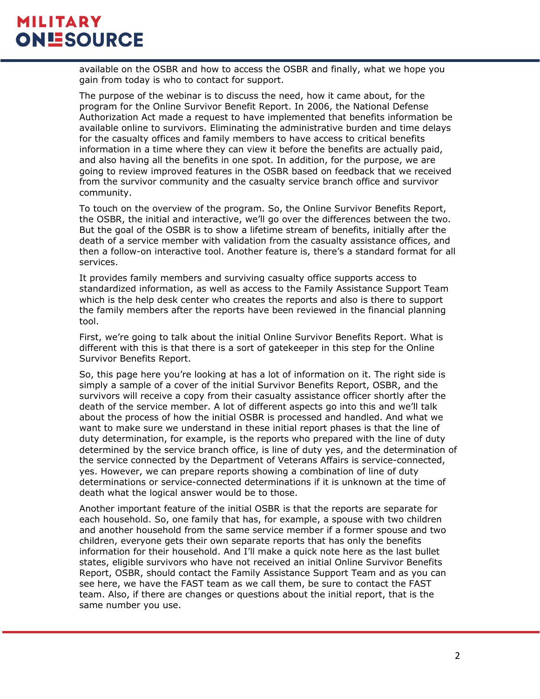available on the OSBR and how to access the OSBR and finally, what we hope you gain from today is who to contact for support.

The purpose of the webinar is to discuss the need, how it came about, for the program for the Online Survivor Benefit Report. In 2006, the National Defense Authorization Act made a request to have implemented that benefits information be available online to survivors. Eliminating the administrative burden and time delays for the casualty offices and family members to have access to critical benefits information in a time where they can view it before the benefits are actually paid, and also having all the benefits in one spot. In addition, for the purpose, we are going to review improved features in the OSBR based on feedback that we received from the survivor community and the casualty service branch office and survivor community.

To touch on the overview of the program. So, the Online Survivor Benefits Report, the OSBR, the initial and interactive, we'll go over the differences between the two. But the goal of the OSBR is to show a lifetime stream of benefits, initially after the death of a service member with validation from the casualty assistance offices, and then a follow-on interactive tool. Another feature is, there's a standard format for all services.

It provides family members and surviving casualty office supports access to standardized information, as well as access to the Family Assistance Support Team which is the help desk center who creates the reports and also is there to support the family members after the reports have been reviewed in the financial planning tool.

First, we're going to talk about the initial Online Survivor Benefits Report. What is different with this is that there is a sort of gatekeeper in this step for the Online Survivor Benefits Report.

So, this page here you're looking at has a lot of information on it. The right side is simply a sample of a cover of the initial Survivor Benefits Report, OSBR, and the survivors will receive a copy from their casualty assistance officer shortly after the death of the service member. A lot of different aspects go into this and we'll talk about the process of how the initial OSBR is processed and handled. And what we want to make sure we understand in these initial report phases is that the line of duty determination, for example, is the reports who prepared with the line of duty determined by the service branch office, is line of duty yes, and the determination of the service connected by the Department of Veterans Affairs is service-connected, yes. However, we can prepare reports showing a combination of line of duty determinations or service-connected determinations if it is unknown at the time of death what the logical answer would be to those.

Another important feature of the initial OSBR is that the reports are separate for each household. So, one family that has, for example, a spouse with two children and another household from the same service member if a former spouse and two children, everyone gets their own separate reports that has only the benefits information for their household. And I'll make a quick note here as the last bullet states, eligible survivors who have not received an initial Online Survivor Benefits Report, OSBR, should contact the Family Assistance Support Team and as you can see here, we have the FAST team as we call them, be sure to contact the FAST team. Also, if there are changes or questions about the initial report, that is the same number you use.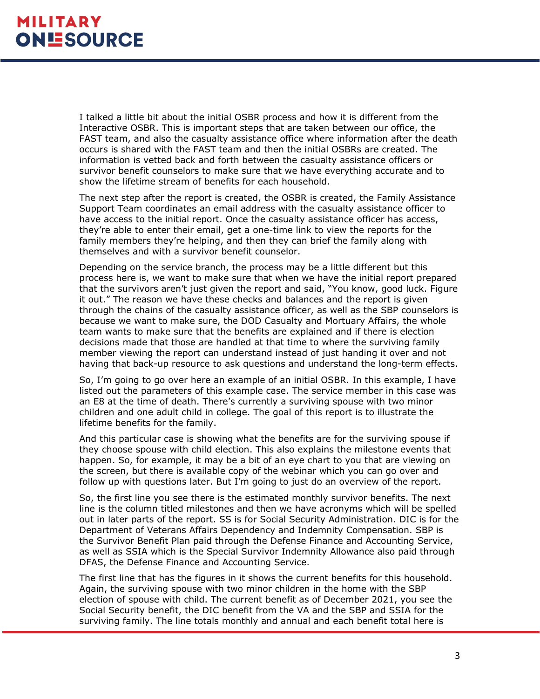I talked a little bit about the initial OSBR process and how it is different from the Interactive OSBR. This is important steps that are taken between our office, the FAST team, and also the casualty assistance office where information after the death occurs is shared with the FAST team and then the initial OSBRs are created. The information is vetted back and forth between the casualty assistance officers or survivor benefit counselors to make sure that we have everything accurate and to show the lifetime stream of benefits for each household.

The next step after the report is created, the OSBR is created, the Family Assistance Support Team coordinates an email address with the casualty assistance officer to have access to the initial report. Once the casualty assistance officer has access, they're able to enter their email, get a one-time link to view the reports for the family members they're helping, and then they can brief the family along with themselves and with a survivor benefit counselor.

Depending on the service branch, the process may be a little different but this process here is, we want to make sure that when we have the initial report prepared that the survivors aren't just given the report and said, "You know, good luck. Figure it out." The reason we have these checks and balances and the report is given through the chains of the casualty assistance officer, as well as the SBP counselors is because we want to make sure, the DOD Casualty and Mortuary Affairs, the whole team wants to make sure that the benefits are explained and if there is election decisions made that those are handled at that time to where the surviving family member viewing the report can understand instead of just handing it over and not having that back-up resource to ask questions and understand the long-term effects.

So, I'm going to go over here an example of an initial OSBR. In this example, I have listed out the parameters of this example case. The service member in this case was an E8 at the time of death. There's currently a surviving spouse with two minor children and one adult child in college. The goal of this report is to illustrate the lifetime benefits for the family.

And this particular case is showing what the benefits are for the surviving spouse if they choose spouse with child election. This also explains the milestone events that happen. So, for example, it may be a bit of an eye chart to you that are viewing on the screen, but there is available copy of the webinar which you can go over and follow up with questions later. But I'm going to just do an overview of the report.

So, the first line you see there is the estimated monthly survivor benefits. The next line is the column titled milestones and then we have acronyms which will be spelled out in later parts of the report. SS is for Social Security Administration. DIC is for the Department of Veterans Affairs Dependency and Indemnity Compensation. SBP is the Survivor Benefit Plan paid through the Defense Finance and Accounting Service, as well as SSIA which is the Special Survivor Indemnity Allowance also paid through DFAS, the Defense Finance and Accounting Service.

The first line that has the figures in it shows the current benefits for this household. Again, the surviving spouse with two minor children in the home with the SBP election of spouse with child. The current benefit as of December 2021, you see the Social Security benefit, the DIC benefit from the VA and the SBP and SSIA for the surviving family. The line totals monthly and annual and each benefit total here is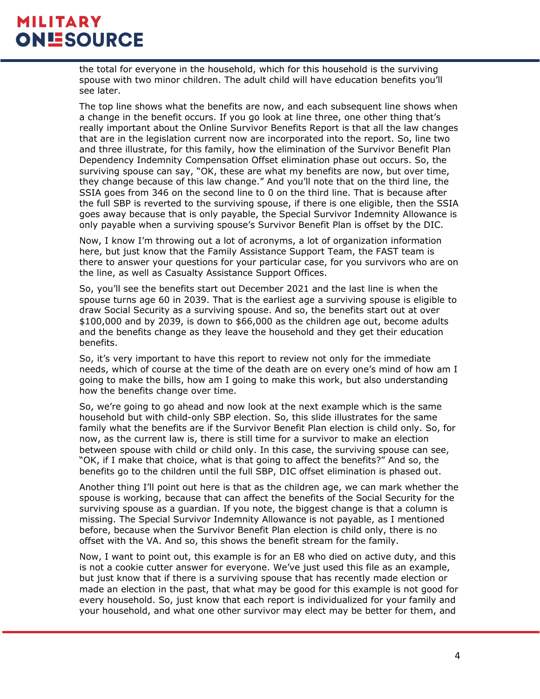the total for everyone in the household, which for this household is the surviving spouse with two minor children. The adult child will have education benefits you'll see later.

The top line shows what the benefits are now, and each subsequent line shows when a change in the benefit occurs. If you go look at line three, one other thing that's really important about the Online Survivor Benefits Report is that all the law changes that are in the legislation current now are incorporated into the report. So, line two and three illustrate, for this family, how the elimination of the Survivor Benefit Plan Dependency Indemnity Compensation Offset elimination phase out occurs. So, the surviving spouse can say, "OK, these are what my benefits are now, but over time, they change because of this law change." And you'll note that on the third line, the SSIA goes from 346 on the second line to 0 on the third line. That is because after the full SBP is reverted to the surviving spouse, if there is one eligible, then the SSIA goes away because that is only payable, the Special Survivor Indemnity Allowance is only payable when a surviving spouse's Survivor Benefit Plan is offset by the DIC.

Now, I know I'm throwing out a lot of acronyms, a lot of organization information here, but just know that the Family Assistance Support Team, the FAST team is there to answer your questions for your particular case, for you survivors who are on the line, as well as Casualty Assistance Support Offices.

So, you'll see the benefits start out December 2021 and the last line is when the spouse turns age 60 in 2039. That is the earliest age a surviving spouse is eligible to draw Social Security as a surviving spouse. And so, the benefits start out at over \$100,000 and by 2039, is down to \$66,000 as the children age out, become adults and the benefits change as they leave the household and they get their education benefits.

So, it's very important to have this report to review not only for the immediate needs, which of course at the time of the death are on every one's mind of how am I going to make the bills, how am I going to make this work, but also understanding how the benefits change over time.

So, we're going to go ahead and now look at the next example which is the same household but with child-only SBP election. So, this slide illustrates for the same family what the benefits are if the Survivor Benefit Plan election is child only. So, for now, as the current law is, there is still time for a survivor to make an election between spouse with child or child only. In this case, the surviving spouse can see, "OK, if I make that choice, what is that going to affect the benefits?" And so, the benefits go to the children until the full SBP, DIC offset elimination is phased out.

Another thing I'll point out here is that as the children age, we can mark whether the spouse is working, because that can affect the benefits of the Social Security for the surviving spouse as a guardian. If you note, the biggest change is that a column is missing. The Special Survivor Indemnity Allowance is not payable, as I mentioned before, because when the Survivor Benefit Plan election is child only, there is no offset with the VA. And so, this shows the benefit stream for the family.

Now, I want to point out, this example is for an E8 who died on active duty, and this is not a cookie cutter answer for everyone. We've just used this file as an example, but just know that if there is a surviving spouse that has recently made election or made an election in the past, that what may be good for this example is not good for every household. So, just know that each report is individualized for your family and your household, and what one other survivor may elect may be better for them, and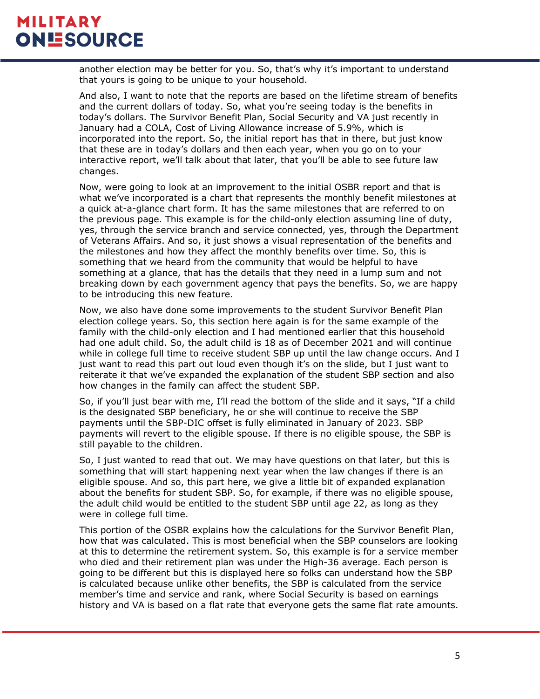another election may be better for you. So, that's why it's important to understand that yours is going to be unique to your household.

And also, I want to note that the reports are based on the lifetime stream of benefits and the current dollars of today. So, what you're seeing today is the benefits in today's dollars. The Survivor Benefit Plan, Social Security and VA just recently in January had a COLA, Cost of Living Allowance increase of 5.9%, which is incorporated into the report. So, the initial report has that in there, but just know that these are in today's dollars and then each year, when you go on to your interactive report, we'll talk about that later, that you'll be able to see future law changes.

Now, were going to look at an improvement to the initial OSBR report and that is what we've incorporated is a chart that represents the monthly benefit milestones at a quick at-a-glance chart form. It has the same milestones that are referred to on the previous page. This example is for the child-only election assuming line of duty, yes, through the service branch and service connected, yes, through the Department of Veterans Affairs. And so, it just shows a visual representation of the benefits and the milestones and how they affect the monthly benefits over time. So, this is something that we heard from the community that would be helpful to have something at a glance, that has the details that they need in a lump sum and not breaking down by each government agency that pays the benefits. So, we are happy to be introducing this new feature.

Now, we also have done some improvements to the student Survivor Benefit Plan election college years. So, this section here again is for the same example of the family with the child-only election and I had mentioned earlier that this household had one adult child. So, the adult child is 18 as of December 2021 and will continue while in college full time to receive student SBP up until the law change occurs. And I just want to read this part out loud even though it's on the slide, but I just want to reiterate it that we've expanded the explanation of the student SBP section and also how changes in the family can affect the student SBP.

So, if you'll just bear with me, I'll read the bottom of the slide and it says, "If a child is the designated SBP beneficiary, he or she will continue to receive the SBP payments until the SBP-DIC offset is fully eliminated in January of 2023. SBP payments will revert to the eligible spouse. If there is no eligible spouse, the SBP is still payable to the children.

So, I just wanted to read that out. We may have questions on that later, but this is something that will start happening next year when the law changes if there is an eligible spouse. And so, this part here, we give a little bit of expanded explanation about the benefits for student SBP. So, for example, if there was no eligible spouse, the adult child would be entitled to the student SBP until age 22, as long as they were in college full time.

This portion of the OSBR explains how the calculations for the Survivor Benefit Plan, how that was calculated. This is most beneficial when the SBP counselors are looking at this to determine the retirement system. So, this example is for a service member who died and their retirement plan was under the High-36 average. Each person is going to be different but this is displayed here so folks can understand how the SBP is calculated because unlike other benefits, the SBP is calculated from the service member's time and service and rank, where Social Security is based on earnings history and VA is based on a flat rate that everyone gets the same flat rate amounts.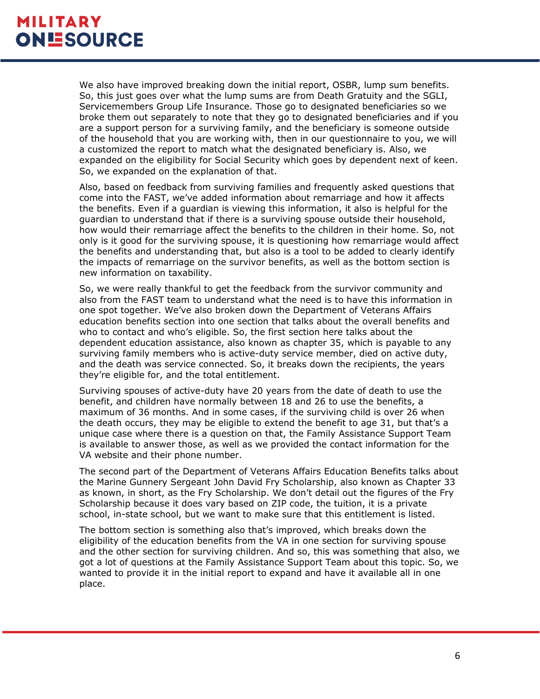We also have improved breaking down the initial report, OSBR, lump sum benefits. So, this just goes over what the lump sums are from Death Gratuity and the SGLI, Servicemembers Group Life Insurance. Those go to designated beneficiaries so we broke them out separately to note that they go to designated beneficiaries and if you are a support person for a surviving family, and the beneficiary is someone outside of the household that you are working with, then in our questionnaire to you, we will a customized the report to match what the designated beneficiary is. Also, we expanded on the eligibility for Social Security which goes by dependent next of keen. So, we expanded on the explanation of that.

Also, based on feedback from surviving families and frequently asked questions that come into the FAST, we've added information about remarriage and how it affects the benefits. Even if a guardian is viewing this information, it also is helpful for the guardian to understand that if there is a surviving spouse outside their household, how would their remarriage affect the benefits to the children in their home. So, not only is it good for the surviving spouse, it is questioning how remarriage would affect the benefits and understanding that, but also is a tool to be added to clearly identify the impacts of remarriage on the survivor benefits, as well as the bottom section is new information on taxability.

So, we were really thankful to get the feedback from the survivor community and also from the FAST team to understand what the need is to have this information in one spot together. We've also broken down the Department of Veterans Affairs education benefits section into one section that talks about the overall benefits and who to contact and who's eligible. So, the first section here talks about the dependent education assistance, also known as chapter 35, which is payable to any surviving family members who is active-duty service member, died on active duty, and the death was service connected. So, it breaks down the recipients, the years they're eligible for, and the total entitlement.

Surviving spouses of active-duty have 20 years from the date of death to use the benefit, and children have normally between 18 and 26 to use the benefits, a maximum of 36 months. And in some cases, if the surviving child is over 26 when the death occurs, they may be eligible to extend the benefit to age 31, but that's a unique case where there is a question on that, the Family Assistance Support Team is available to answer those, as well as we provided the contact information for the VA website and their phone number.

The second part of the Department of Veterans Affairs Education Benefits talks about the Marine Gunnery Sergeant John David Fry Scholarship, also known as Chapter 33 as known, in short, as the Fry Scholarship. We don't detail out the figures of the Fry Scholarship because it does vary based on ZIP code, the tuition, it is a private school, in-state school, but we want to make sure that this entitlement is listed.

The bottom section is something also that's improved, which breaks down the eligibility of the education benefits from the VA in one section for surviving spouse and the other section for surviving children. And so, this was something that also, we got a lot of questions at the Family Assistance Support Team about this topic. So, we wanted to provide it in the initial report to expand and have it available all in one place.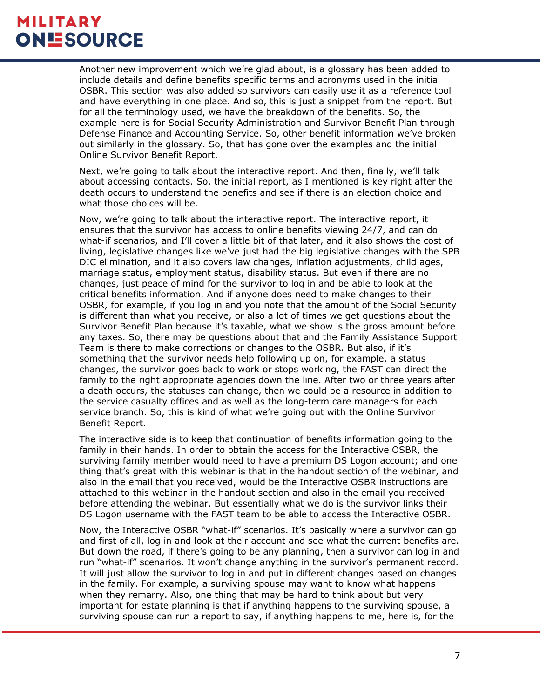Another new improvement which we're glad about, is a glossary has been added to include details and define benefits specific terms and acronyms used in the initial OSBR. This section was also added so survivors can easily use it as a reference tool and have everything in one place. And so, this is just a snippet from the report. But for all the terminology used, we have the breakdown of the benefits. So, the example here is for Social Security Administration and Survivor Benefit Plan through Defense Finance and Accounting Service. So, other benefit information we've broken out similarly in the glossary. So, that has gone over the examples and the initial Online Survivor Benefit Report.

Next, we're going to talk about the interactive report. And then, finally, we'll talk about accessing contacts. So, the initial report, as I mentioned is key right after the death occurs to understand the benefits and see if there is an election choice and what those choices will be.

Now, we're going to talk about the interactive report. The interactive report, it ensures that the survivor has access to online benefits viewing 24/7, and can do what-if scenarios, and I'll cover a little bit of that later, and it also shows the cost of living, legislative changes like we've just had the big legislative changes with the SPB DIC elimination, and it also covers law changes, inflation adjustments, child ages, marriage status, employment status, disability status. But even if there are no changes, just peace of mind for the survivor to log in and be able to look at the critical benefits information. And if anyone does need to make changes to their OSBR, for example, if you log in and you note that the amount of the Social Security is different than what you receive, or also a lot of times we get questions about the Survivor Benefit Plan because it's taxable, what we show is the gross amount before any taxes. So, there may be questions about that and the Family Assistance Support Team is there to make corrections or changes to the OSBR. But also, if it's something that the survivor needs help following up on, for example, a status changes, the survivor goes back to work or stops working, the FAST can direct the family to the right appropriate agencies down the line. After two or three years after a death occurs, the statuses can change, then we could be a resource in addition to the service casualty offices and as well as the long-term care managers for each service branch. So, this is kind of what we're going out with the Online Survivor Benefit Report.

The interactive side is to keep that continuation of benefits information going to the family in their hands. In order to obtain the access for the Interactive OSBR, the surviving family member would need to have a premium DS Logon account; and one thing that's great with this webinar is that in the handout section of the webinar, and also in the email that you received, would be the Interactive OSBR instructions are attached to this webinar in the handout section and also in the email you received before attending the webinar. But essentially what we do is the survivor links their DS Logon username with the FAST team to be able to access the Interactive OSBR.

Now, the Interactive OSBR "what-if" scenarios. It's basically where a survivor can go and first of all, log in and look at their account and see what the current benefits are. But down the road, if there's going to be any planning, then a survivor can log in and run "what-if" scenarios. It won't change anything in the survivor's permanent record. It will just allow the survivor to log in and put in different changes based on changes in the family. For example, a surviving spouse may want to know what happens when they remarry. Also, one thing that may be hard to think about but very important for estate planning is that if anything happens to the surviving spouse, a surviving spouse can run a report to say, if anything happens to me, here is, for the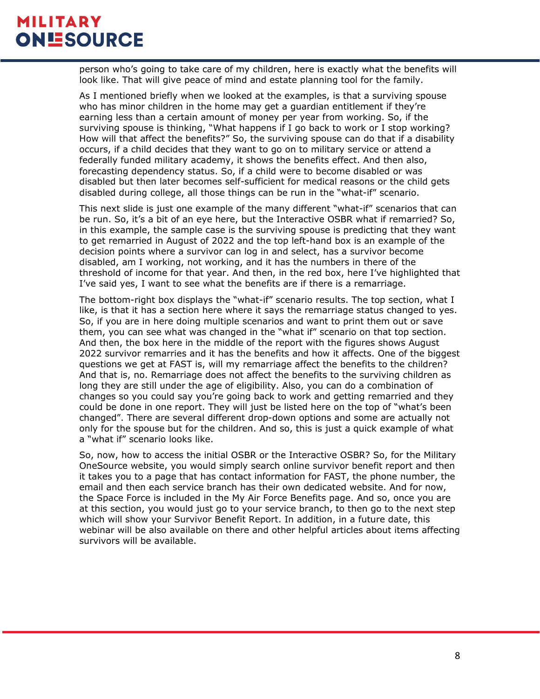person who's going to take care of my children, here is exactly what the benefits will look like. That will give peace of mind and estate planning tool for the family.

As I mentioned briefly when we looked at the examples, is that a surviving spouse who has minor children in the home may get a guardian entitlement if they're earning less than a certain amount of money per year from working. So, if the surviving spouse is thinking, "What happens if I go back to work or I stop working? How will that affect the benefits?" So, the surviving spouse can do that if a disability occurs, if a child decides that they want to go on to military service or attend a federally funded military academy, it shows the benefits effect. And then also, forecasting dependency status. So, if a child were to become disabled or was disabled but then later becomes self-sufficient for medical reasons or the child gets disabled during college, all those things can be run in the "what-if" scenario.

This next slide is just one example of the many different "what-if" scenarios that can be run. So, it's a bit of an eye here, but the Interactive OSBR what if remarried? So, in this example, the sample case is the surviving spouse is predicting that they want to get remarried in August of 2022 and the top left-hand box is an example of the decision points where a survivor can log in and select, has a survivor become disabled, am I working, not working, and it has the numbers in there of the threshold of income for that year. And then, in the red box, here I've highlighted that I've said yes, I want to see what the benefits are if there is a remarriage.

The bottom-right box displays the "what-if" scenario results. The top section, what I like, is that it has a section here where it says the remarriage status changed to yes. So, if you are in here doing multiple scenarios and want to print them out or save them, you can see what was changed in the "what if" scenario on that top section. And then, the box here in the middle of the report with the figures shows August 2022 survivor remarries and it has the benefits and how it affects. One of the biggest questions we get at FAST is, will my remarriage affect the benefits to the children? And that is, no. Remarriage does not affect the benefits to the surviving children as long they are still under the age of eligibility. Also, you can do a combination of changes so you could say you're going back to work and getting remarried and they could be done in one report. They will just be listed here on the top of "what's been changed". There are several different drop-down options and some are actually not only for the spouse but for the children. And so, this is just a quick example of what a "what if" scenario looks like.

So, now, how to access the initial OSBR or the Interactive OSBR? So, for the Military OneSource website, you would simply search online survivor benefit report and then it takes you to a page that has contact information for FAST, the phone number, the email and then each service branch has their own dedicated website. And for now, the Space Force is included in the My Air Force Benefits page. And so, once you are at this section, you would just go to your service branch, to then go to the next step which will show your Survivor Benefit Report. In addition, in a future date, this webinar will be also available on there and other helpful articles about items affecting survivors will be available.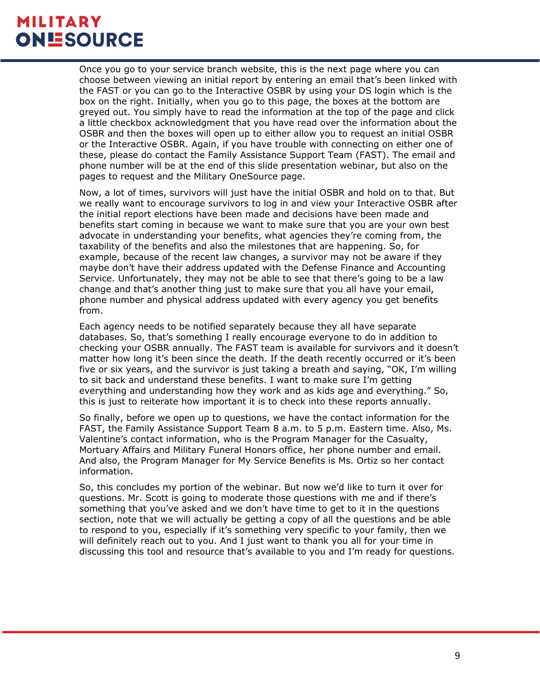Once you go to your service branch website, this is the next page where you can choose between viewing an initial report by entering an email that's been linked with the FAST or you can go to the Interactive OSBR by using your DS login which is the box on the right. Initially, when you go to this page, the boxes at the bottom are greyed out. You simply have to read the information at the top of the page and click a little checkbox acknowledgment that you have read over the information about the OSBR and then the boxes will open up to either allow you to request an initial OSBR or the Interactive OSBR. Again, if you have trouble with connecting on either one of these, please do contact the Family Assistance Support Team (FAST). The email and phone number will be at the end of this slide presentation webinar, but also on the pages to request and the Military OneSource page.

Now, a lot of times, survivors will just have the initial OSBR and hold on to that. But we really want to encourage survivors to log in and view your Interactive OSBR after the initial report elections have been made and decisions have been made and benefits start coming in because we want to make sure that you are your own best advocate in understanding your benefits, what agencies they're coming from, the taxability of the benefits and also the milestones that are happening. So, for example, because of the recent law changes, a survivor may not be aware if they maybe don't have their address updated with the Defense Finance and Accounting Service. Unfortunately, they may not be able to see that there's going to be a law change and that's another thing just to make sure that you all have your email, phone number and physical address updated with every agency you get benefits from.

Each agency needs to be notified separately because they all have separate databases. So, that's something I really encourage everyone to do in addition to checking your OSBR annually. The FAST team is available for survivors and it doesn't matter how long it's been since the death. If the death recently occurred or it's been five or six years, and the survivor is just taking a breath and saying, "OK, I'm willing to sit back and understand these benefits. I want to make sure I'm getting everything and understanding how they work and as kids age and everything." So, this is just to reiterate how important it is to check into these reports annually.

So finally, before we open up to questions, we have the contact information for the FAST, the Family Assistance Support Team 8 a.m. to 5 p.m. Eastern time. Also, Ms. Valentine's contact information, who is the Program Manager for the Casualty, Mortuary Affairs and Military Funeral Honors office, her phone number and email. And also, the Program Manager for My Service Benefits is Ms. Ortiz so her contact information.

So, this concludes my portion of the webinar. But now we'd like to turn it over for questions. Mr. Scott is going to moderate those questions with me and if there's something that you've asked and we don't have time to get to it in the questions section, note that we will actually be getting a copy of all the questions and be able to respond to you, especially if it's something very specific to your family, then we will definitely reach out to you. And I just want to thank you all for your time in discussing this tool and resource that's available to you and I'm ready for questions.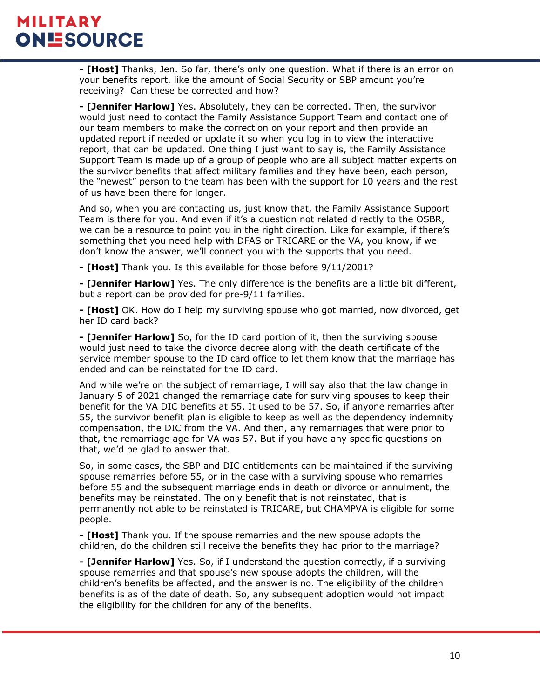**- [Host]** Thanks, Jen. So far, there's only one question. What if there is an error on your benefits report, like the amount of Social Security or SBP amount you're receiving? Can these be corrected and how?

**- [Jennifer Harlow]** Yes. Absolutely, they can be corrected. Then, the survivor would just need to contact the Family Assistance Support Team and contact one of our team members to make the correction on your report and then provide an updated report if needed or update it so when you log in to view the interactive report, that can be updated. One thing I just want to say is, the Family Assistance Support Team is made up of a group of people who are all subject matter experts on the survivor benefits that affect military families and they have been, each person, the "newest" person to the team has been with the support for 10 years and the rest of us have been there for longer.

And so, when you are contacting us, just know that, the Family Assistance Support Team is there for you. And even if it's a question not related directly to the OSBR, we can be a resource to point you in the right direction. Like for example, if there's something that you need help with DFAS or TRICARE or the VA, you know, if we don't know the answer, we'll connect you with the supports that you need.

**- [Host]** Thank you. Is this available for those before 9/11/2001?

**- [Jennifer Harlow]** Yes. The only difference is the benefits are a little bit different, but a report can be provided for pre-9/11 families.

**- [Host]** OK. How do I help my surviving spouse who got married, now divorced, get her ID card back?

**- [Jennifer Harlow]** So, for the ID card portion of it, then the surviving spouse would just need to take the divorce decree along with the death certificate of the service member spouse to the ID card office to let them know that the marriage has ended and can be reinstated for the ID card.

And while we're on the subject of remarriage, I will say also that the law change in January 5 of 2021 changed the remarriage date for surviving spouses to keep their benefit for the VA DIC benefits at 55. It used to be 57. So, if anyone remarries after 55, the survivor benefit plan is eligible to keep as well as the dependency indemnity compensation, the DIC from the VA. And then, any remarriages that were prior to that, the remarriage age for VA was 57. But if you have any specific questions on that, we'd be glad to answer that.

So, in some cases, the SBP and DIC entitlements can be maintained if the surviving spouse remarries before 55, or in the case with a surviving spouse who remarries before 55 and the subsequent marriage ends in death or divorce or annulment, the benefits may be reinstated. The only benefit that is not reinstated, that is permanently not able to be reinstated is TRICARE, but CHAMPVA is eligible for some people.

**- [Host]** Thank you. If the spouse remarries and the new spouse adopts the children, do the children still receive the benefits they had prior to the marriage?

**- [Jennifer Harlow]** Yes. So, if I understand the question correctly, if a surviving spouse remarries and that spouse's new spouse adopts the children, will the children's benefits be affected, and the answer is no. The eligibility of the children benefits is as of the date of death. So, any subsequent adoption would not impact the eligibility for the children for any of the benefits.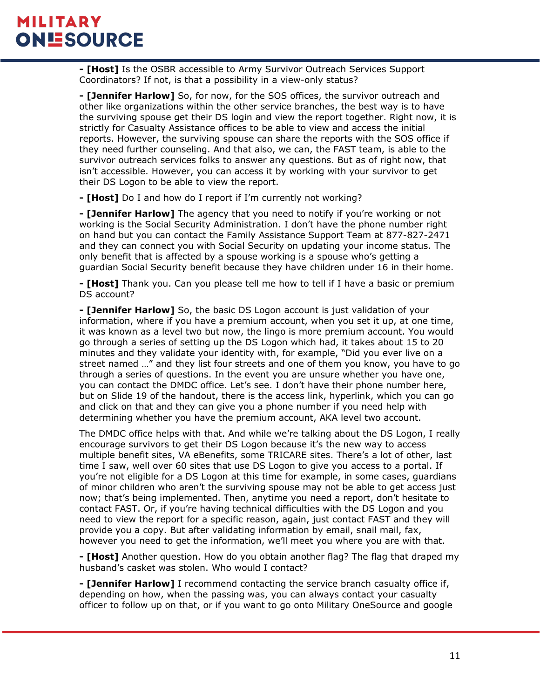**- [Host]** Is the OSBR accessible to Army Survivor Outreach Services Support Coordinators? If not, is that a possibility in a view-only status?

**- [Jennifer Harlow]** So, for now, for the SOS offices, the survivor outreach and other like organizations within the other service branches, the best way is to have the surviving spouse get their DS login and view the report together. Right now, it is strictly for Casualty Assistance offices to be able to view and access the initial reports. However, the surviving spouse can share the reports with the SOS office if they need further counseling. And that also, we can, the FAST team, is able to the survivor outreach services folks to answer any questions. But as of right now, that isn't accessible. However, you can access it by working with your survivor to get their DS Logon to be able to view the report.

**- [Host]** Do I and how do I report if I'm currently not working?

**- [Jennifer Harlow]** The agency that you need to notify if you're working or not working is the Social Security Administration. I don't have the phone number right on hand but you can contact the Family Assistance Support Team at 877-827-2471 and they can connect you with Social Security on updating your income status. The only benefit that is affected by a spouse working is a spouse who's getting a guardian Social Security benefit because they have children under 16 in their home.

**- [Host]** Thank you. Can you please tell me how to tell if I have a basic or premium DS account?

**- [Jennifer Harlow]** So, the basic DS Logon account is just validation of your information, where if you have a premium account, when you set it up, at one time, it was known as a level two but now, the lingo is more premium account. You would go through a series of setting up the DS Logon which had, it takes about 15 to 20 minutes and they validate your identity with, for example, "Did you ever live on a street named …" and they list four streets and one of them you know, you have to go through a series of questions. In the event you are unsure whether you have one, you can contact the DMDC office. Let's see. I don't have their phone number here, but on Slide 19 of the handout, there is the access link, hyperlink, which you can go and click on that and they can give you a phone number if you need help with determining whether you have the premium account, AKA level two account.

The DMDC office helps with that. And while we're talking about the DS Logon, I really encourage survivors to get their DS Logon because it's the new way to access multiple benefit sites, VA eBenefits, some TRICARE sites. There's a lot of other, last time I saw, well over 60 sites that use DS Logon to give you access to a portal. If you're not eligible for a DS Logon at this time for example, in some cases, guardians of minor children who aren't the surviving spouse may not be able to get access just now; that's being implemented. Then, anytime you need a report, don't hesitate to contact FAST. Or, if you're having technical difficulties with the DS Logon and you need to view the report for a specific reason, again, just contact FAST and they will provide you a copy. But after validating information by email, snail mail, fax, however you need to get the information, we'll meet you where you are with that.

**- [Host]** Another question. How do you obtain another flag? The flag that draped my husband's casket was stolen. Who would I contact?

**- [Jennifer Harlow]** I recommend contacting the service branch casualty office if, depending on how, when the passing was, you can always contact your casualty officer to follow up on that, or if you want to go onto Military OneSource and google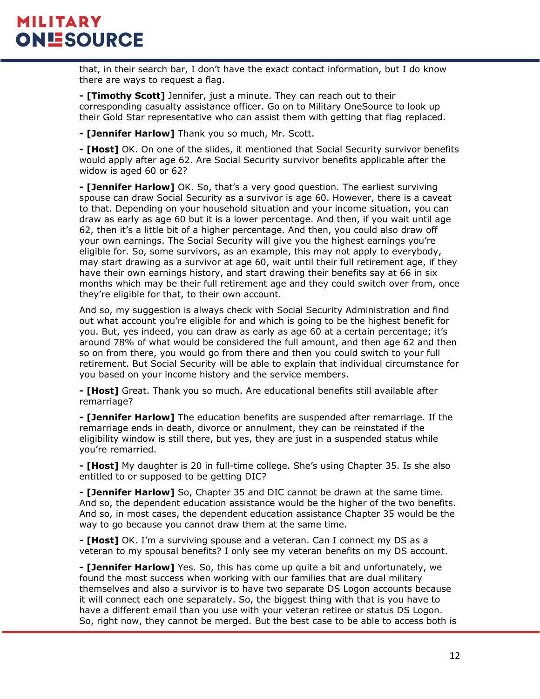that, in their search bar, I don't have the exact contact information, but I do know there are ways to request a flag.

**- [Timothy Scott]** Jennifer, just a minute. They can reach out to their corresponding casualty assistance officer. Go on to Military OneSource to look up their Gold Star representative who can assist them with getting that flag replaced.

**- [Jennifer Harlow]** Thank you so much, Mr. Scott.

**- [Host]** OK. On one of the slides, it mentioned that Social Security survivor benefits would apply after age 62. Are Social Security survivor benefits applicable after the widow is aged 60 or 62?

**- [Jennifer Harlow]** OK. So, that's a very good question. The earliest surviving spouse can draw Social Security as a survivor is age 60. However, there is a caveat to that. Depending on your household situation and your income situation, you can draw as early as age 60 but it is a lower percentage. And then, if you wait until age 62, then it's a little bit of a higher percentage. And then, you could also draw off your own earnings. The Social Security will give you the highest earnings you're eligible for. So, some survivors, as an example, this may not apply to everybody, may start drawing as a survivor at age 60, wait until their full retirement age, if they have their own earnings history, and start drawing their benefits say at 66 in six months which may be their full retirement age and they could switch over from, once they're eligible for that, to their own account.

And so, my suggestion is always check with Social Security Administration and find out what account you're eligible for and which is going to be the highest benefit for you. But, yes indeed, you can draw as early as age 60 at a certain percentage; it's around 78% of what would be considered the full amount, and then age 62 and then so on from there, you would go from there and then you could switch to your full retirement. But Social Security will be able to explain that individual circumstance for you based on your income history and the service members.

**- [Host]** Great. Thank you so much. Are educational benefits still available after remarriage?

**- [Jennifer Harlow]** The education benefits are suspended after remarriage. If the remarriage ends in death, divorce or annulment, they can be reinstated if the eligibility window is still there, but yes, they are just in a suspended status while you're remarried.

**- [Host]** My daughter is 20 in full-time college. She's using Chapter 35. Is she also entitled to or supposed to be getting DIC?

**- [Jennifer Harlow]** So, Chapter 35 and DIC cannot be drawn at the same time. And so, the dependent education assistance would be the higher of the two benefits. And so, in most cases, the dependent education assistance Chapter 35 would be the way to go because you cannot draw them at the same time.

**- [Host]** OK. I'm a surviving spouse and a veteran. Can I connect my DS as a veteran to my spousal benefits? I only see my veteran benefits on my DS account.

**- [Jennifer Harlow]** Yes. So, this has come up quite a bit and unfortunately, we found the most success when working with our families that are dual military themselves and also a survivor is to have two separate DS Logon accounts because it will connect each one separately. So, the biggest thing with that is you have to have a different email than you use with your veteran retiree or status DS Logon. So, right now, they cannot be merged. But the best case to be able to access both is